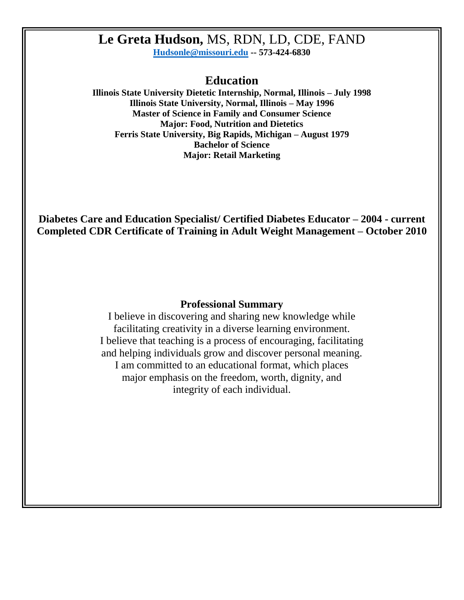# **Le Greta Hudson,** MS, RDN, LD, CDE, FAND

**[Hudsonle@missouri.edu](mailto:Hudsonle@missouri.edu) -- 573-424-6830** 

## **Education**

**Illinois State University Dietetic Internship, Normal, Illinois – July 1998 Illinois State University, Normal, Illinois – May 1996 Master of Science in Family and Consumer Science Major: Food, Nutrition and Dietetics Ferris State University, Big Rapids, Michigan – August 1979 Bachelor of Science Major: Retail Marketing**

**Diabetes Care and Education Specialist/ Certified Diabetes Educator – 2004 - current Completed CDR Certificate of Training in Adult Weight Management – October 2010**

#### **Professional Summary**

I believe in discovering and sharing new knowledge while facilitating creativity in a diverse learning environment. I believe that teaching is a process of encouraging, facilitating and helping individuals grow and discover personal meaning. I am committed to an educational format, which places major emphasis on the freedom, worth, dignity, and integrity of each individual.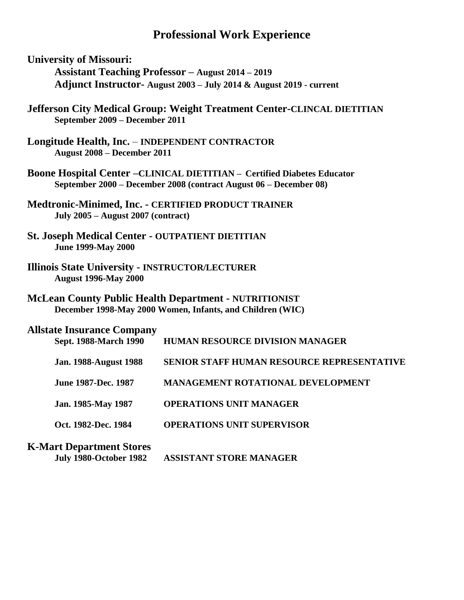# **Professional Work Experience**

- **University of Missouri: Assistant Teaching Professor – August 2014 – 2019 Adjunct Instructor- August 2003 – July 2014 & August 2019 - current**
- **Jefferson City Medical Group: Weight Treatment Center-CLINCAL DIETITIAN September 2009 – December 2011**
- **Longitude Health, Inc. INDEPENDENT CONTRACTOR August 2008 – December 2011**
- **Boone Hospital Center –CLINICAL DIETITIAN – Certified Diabetes Educator September 2000 – December 2008 (contract August 06 – December 08)**
- **Medtronic-Minimed, Inc. - CERTIFIED PRODUCT TRAINER July 2005 – August 2007 (contract)**
- **St. Joseph Medical Center - OUTPATIENT DIETITIAN June 1999-May 2000**
- **Illinois State University - INSTRUCTOR/LECTURER August 1996-May 2000**
- **McLean County Public Health Department - NUTRITIONIST December 1998-May 2000 Women, Infants, and Children (WIC)**

| <b>Allstate Insurance Company</b><br>Sept. 1988-March 1990 | <b>HUMAN RESOURCE DIVISION MANAGER</b>            |
|------------------------------------------------------------|---------------------------------------------------|
| <b>Jan. 1988-August 1988</b>                               | <b>SENIOR STAFF HUMAN RESOURCE REPRESENTATIVE</b> |
| June 1987-Dec. 1987                                        | <b>MANAGEMENT ROTATIONAL DEVELOPMENT</b>          |
| Jan. 1985-May 1987                                         | <b>OPERATIONS UNIT MANAGER</b>                    |
| Oct. 1982-Dec. 1984                                        | <b>OPERATIONS UNIT SUPERVISOR</b>                 |
| <b>K-Mart Department Stores</b>                            |                                                   |

**July 1980-October 1982 ASSISTANT STORE MANAGER**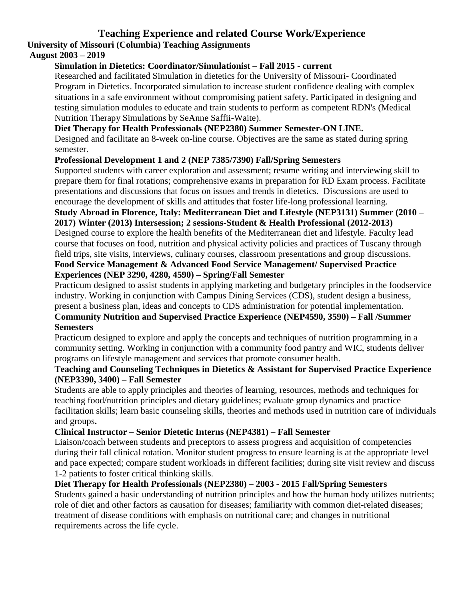# **Teaching Experience and related Course Work/Experience University of Missouri (Columbia) Teaching Assignments**

### **August 2003 – 2019**

### **Simulation in Dietetics: Coordinator/Simulationist – Fall 2015 - current**

Researched and facilitated Simulation in dietetics for the University of Missouri- Coordinated Program in Dietetics. Incorporated simulation to increase student confidence dealing with complex situations in a safe environment without compromising patient safety. Participated in designing and testing simulation modules to educate and train students to perform as competent RDN's (Medical Nutrition Therapy Simulations by SeAnne Saffii-Waite).

### **Diet Therapy for Health Professionals (NEP2380) Summer Semester-ON LINE.**

Designed and facilitate an 8-week on-line course. Objectives are the same as stated during spring semester.

#### **Professional Development 1 and 2 (NEP 7385/7390) Fall/Spring Semesters**

Supported students with career exploration and assessment; resume writing and interviewing skill to prepare them for final rotations; comprehensive exams in preparation for RD Exam process. Facilitate presentations and discussions that focus on issues and trends in dietetics. Discussions are used to encourage the development of skills and attitudes that foster life-long professional learning.

#### **Study Abroad in Florence, Italy: Mediterranean Diet and Lifestyle (NEP3131) Summer (2010 – 2017) Winter (2013) Intersession; 2 sessions-Student & Health Professional (2012-2013)**

Designed course to explore the health benefits of the Mediterranean diet and lifestyle. Faculty lead course that focuses on food, nutrition and physical activity policies and practices of Tuscany through field trips, site visits, interviews, culinary courses, classroom presentations and group discussions.

#### **Food Service Management & Advanced Food Service Management/ Supervised Practice Experiences (NEP 3290, 4280, 4590) – Spring/Fall Semester**

Practicum designed to assist students in applying marketing and budgetary principles in the foodservice industry. Working in conjunction with Campus Dining Services (CDS), student design a business, present a business plan, ideas and concepts to CDS administration for potential implementation.

### **Community Nutrition and Supervised Practice Experience (NEP4590, 3590) – Fall /Summer Semesters**

Practicum designed to explore and apply the concepts and techniques of nutrition programming in a community setting. Working in conjunction with a community food pantry and WIC, students deliver programs on lifestyle management and services that promote consumer health.

#### **Teaching and Counseling Techniques in Dietetics & Assistant for Supervised Practice Experience (NEP3390, 3400) – Fall Semester**

Students are able to apply principles and theories of learning, resources, methods and techniques for teaching food/nutrition principles and dietary guidelines; evaluate group dynamics and practice facilitation skills; learn basic counseling skills, theories and methods used in nutrition care of individuals and groups**.**

#### **Clinical Instructor – Senior Dietetic Interns (NEP4381) – Fall Semester**

Liaison/coach between students and preceptors to assess progress and acquisition of competencies during their fall clinical rotation. Monitor student progress to ensure learning is at the appropriate level and pace expected; compare student workloads in different facilities; during site visit review and discuss 1-2 patients to foster critical thinking skills.

#### **Diet Therapy for Health Professionals (NEP2380) – 2003 - 2015 Fall/Spring Semesters**

Students gained a basic understanding of nutrition principles and how the human body utilizes nutrients; role of diet and other factors as causation for diseases; familiarity with common diet-related diseases; treatment of disease conditions with emphasis on nutritional care; and changes in nutritional requirements across the life cycle.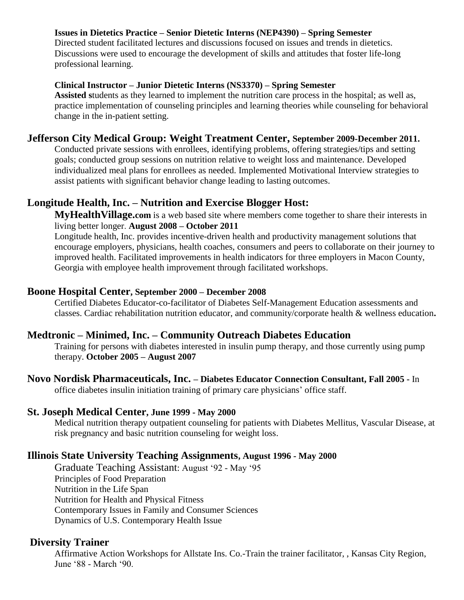### **Issues in Dietetics Practice – Senior Dietetic Interns (NEP4390) – Spring Semester**

Directed student facilitated lectures and discussions focused on issues and trends in dietetics. Discussions were used to encourage the development of skills and attitudes that foster life-long professional learning.

#### **Clinical Instructor – Junior Dietetic Interns (NS3370) – Spring Semester**

**Assisted s**tudents as they learned to implement the nutrition care process in the hospital; as well as, practice implementation of counseling principles and learning theories while counseling for behavioral change in the in-patient setting.

### **Jefferson City Medical Group: Weight Treatment Center, September 2009-December 2011.**

Conducted private sessions with enrollees, identifying problems, offering strategies/tips and setting goals; conducted group sessions on nutrition relative to weight loss and maintenance. Developed individualized meal plans for enrollees as needed. Implemented Motivational Interview strategies to assist patients with significant behavior change leading to lasting outcomes.

## **Longitude Health, Inc. – Nutrition and Exercise Blogger Host:**

**MyHealthVillage.com** is a web based site where members come together to share their interests in living better longer. **August 2008 – October 2011**

Longitude health, Inc. provides incentive-driven health and productivity management solutions that encourage employers, physicians, health coaches, consumers and peers to collaborate on their journey to improved health. Facilitated improvements in health indicators for three employers in Macon County, Georgia with employee health improvement through facilitated workshops.

#### **Boone Hospital Center, September 2000 – December 2008**

Certified Diabetes Educator-co-facilitator of Diabetes Self-Management Education assessments and classes. Cardiac rehabilitation nutrition educator, and community/corporate health & wellness education**.**

## **Medtronic – Minimed, Inc. – Community Outreach Diabetes Education**

Training for persons with diabetes interested in insulin pump therapy, and those currently using pump therapy. **October 2005 – August 2007**

**Novo Nordisk Pharmaceuticals, Inc. – Diabetes Educator Connection Consultant, Fall 2005 -** In office diabetes insulin initiation training of primary care physicians' office staff.

## **St. Joseph Medical Center, June 1999 - May 2000**

Medical nutrition therapy outpatient counseling for patients with Diabetes Mellitus, Vascular Disease, at risk pregnancy and basic nutrition counseling for weight loss.

# **Illinois State University Teaching Assignments, August 1996 - May 2000**

Graduate Teaching Assistant: August '92 - May '95 Principles of Food Preparation Nutrition in the Life Span Nutrition for Health and Physical Fitness Contemporary Issues in Family and Consumer Sciences Dynamics of U.S. Contemporary Health Issue

## **Diversity Trainer**

Affirmative Action Workshops for Allstate Ins. Co.-Train the trainer facilitator, , Kansas City Region, June '88 - March '90.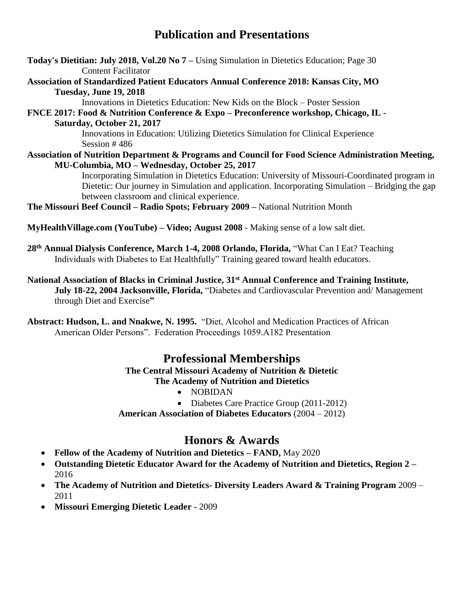# **Publication and Presentations**

**Today's Dietitian: July 2018, Vol.20 No 7 –** Using Simulation in Dietetics Education; Page 30 Content Facilitator

**Association of Standardized Patient Educators Annual Conference 2018: Kansas City, MO Tuesday, June 19, 2018** 

Innovations in Dietetics Education: New Kids on the Block – Poster Session

**FNCE 2017: Food & Nutrition Conference & Expo – Preconference workshop, Chicago, IL - Saturday, October 21, 2017**

> Innovations in Education: Utilizing Dietetics Simulation for Clinical Experience Session # 486

**Association of Nutrition Department & Programs and Council for Food Science Administration Meeting, MU-Columbia, MO – Wednesday, October 25, 2017**

Incorporating Simulation in Dietetics Education: University of Missouri-Coordinated program in Dietetic: Our journey in Simulation and application. Incorporating Simulation – Bridging the gap between classroom and clinical experience.

**The Missouri Beef Council – Radio Spots; February 2009 –** National Nutrition Month

**MyHealthVillage.com (YouTube) – Video; August 2008** - Making sense of a low salt diet.

**28th Annual Dialysis Conference, March 1-4, 2008 Orlando, Florida,** "What Can I Eat? Teaching Individuals with Diabetes to Eat Healthfully" Training geared toward health educators.

**National Association of Blacks in Criminal Justice, 31st Annual Conference and Training Institute, July 18-22, 2004 Jacksonville, Florida,** "Diabetes and Cardiovascular Prevention and/ Management through Diet and Exercise**"**

**Abstract: Hudson, L. and Nnakwe, N. 1995.** "Diet, Alcohol and Medication Practices of African American Older Persons". Federation Proceedings 1059.A182 Presentation

# **Professional Memberships**

**The Central Missouri Academy of Nutrition & Dietetic The Academy of Nutrition and Dietetics**

- NOBIDAN
- Diabetes Care Practice Group (2011-2012)

**American Association of Diabetes Educators** (2004 – 2012)

# **Honors & Awards**

- **Fellow of the Academy of Nutrition and Dietetics – FAND,** May 2020
- **Outstanding Dietetic Educator Award for the Academy of Nutrition and Dietetics, Region 2 –** 2016
- **The Academy of Nutrition and Dietetics- Diversity Leaders Award & Training Program** 2009 2011
- **Missouri Emerging Dietetic Leader -** 2009